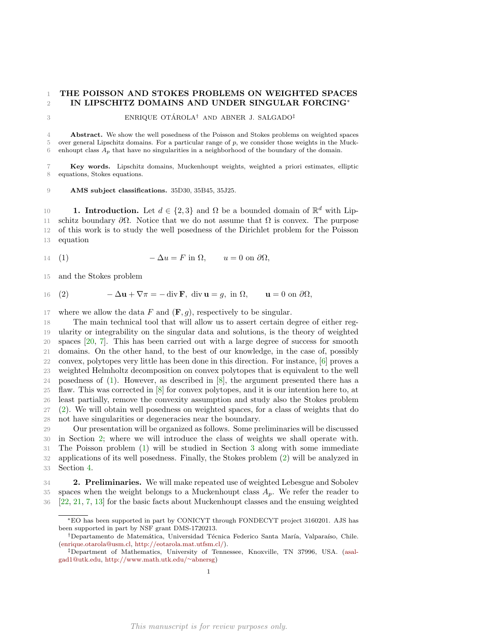## THE POISSON AND STOKES PROBLEMS ON WEIGHTED SPACES IN LIPSCHITZ DOMAINS AND UNDER SINGULAR FORCING<sup>∗</sup>

 $\mu$  3 **ENRIQUE OTÁROLA<sup>†</sup>** AND ABNER J. SALGADO<sup>‡</sup>

 Abstract. We show the well posedness of the Poisson and Stokes problems on weighted spaces over general Lipschitz domains. For a particular range of p, we consider those weights in the Muck-6 enhoupt class  $A_p$  that have no singularities in a neighborhood of the boundary of the domain.

 Key words. Lipschitz domains, Muckenhoupt weights, weighted a priori estimates, elliptic equations, Stokes equations.

AMS subject classifications. 35D30, 35B45, 35J25.

10 **1. Introduction.** Let  $d \in \{2,3\}$  and  $\Omega$  be a bounded domain of  $\mathbb{R}^d$  with Lip-11 schitz boundary  $\partial\Omega$ . Notice that we do not assume that  $\Omega$  is convex. The purpose of this work is to study the well posedness of the Dirichlet problem for the Poisson equation

<span id="page-0-0"></span>
$$
14 \quad (1) \qquad \qquad -\Delta u = F \text{ in } \Omega, \qquad u = 0 \text{ on } \partial \Omega,
$$

and the Stokes problem

<span id="page-0-1"></span>16 (2) 
$$
-\Delta \mathbf{u} + \nabla \pi = -\operatorname{div} \mathbf{F}
$$
, div  $\mathbf{u} = g$ , in  $\Omega$ ,  $\mathbf{u} = 0$  on  $\partial \Omega$ ,

17 where we allow the data F and  $(\mathbf{F}, g)$ , respectively to be singular.

 The main technical tool that will allow us to assert certain degree of either reg- ularity or integrability on the singular data and solutions, is the theory of weighted spaces [\[20,](#page-11-0) [7\]](#page-11-1). This has been carried out with a large degree of success for smooth domains. On the other hand, to the best of our knowledge, in the case of, possibly convex, polytopes very little has been done in this direction. For instance, [\[6\]](#page-11-2) proves a weighted Helmholtz decomposition on convex polytopes that is equivalent to the well posedness of [\(1\)](#page-0-0). However, as described in [\[8\]](#page-11-3), the argument presented there has a flaw. This was corrected in [\[8\]](#page-11-3) for convex polytopes, and it is our intention here to, at least partially, remove the convexity assumption and study also the Stokes problem [\(2\)](#page-0-1). We will obtain well posedness on weighted spaces, for a class of weights that do not have singularities or degeneracies near the boundary.

 Our presentation will be organized as follows. Some preliminaries will be discussed in Section [2;](#page-0-2) where we will introduce the class of weights we shall operate with. The Poisson problem [\(1\)](#page-0-0) will be studied in Section [3](#page-1-0) along with some immediate applications of its well posedness. Finally, the Stokes problem [\(2\)](#page-0-1) will be analyzed in Section [4.](#page-8-0)

<span id="page-0-2"></span> 2. Preliminaries. We will make repeated use of weighted Lebesgue and Sobolev 35 spaces when the weight belongs to a Muckenhoupt class  $A_p$ . We refer the reader to [\[22,](#page-12-0) [21,](#page-12-1) [7,](#page-11-1) [13\]](#page-11-4) for the basic facts about Muckenhoupt classes and the ensuing weighted

<sup>∗</sup>EO has been supported in part by CONICYT through FONDECYT project 3160201. AJS has been supported in part by NSF grant DMS-1720213.

<sup>&</sup>lt;sup>†</sup>Departamento de Matemática, Universidad Técnica Federico Santa María, Valparaíso, Chile. [\(enrique.otarola@usm.cl,](mailto:enrique.otarola@usm.cl) [http://eotarola.mat.utfsm.cl/\)](http://eotarola.mat.utfsm.cl/).

<sup>‡</sup>Department of Mathematics, University of Tennessee, Knoxville, TN 37996, USA. [\(asal](mailto:asalgad1@utk.edu)[gad1@utk.edu,](mailto:asalgad1@utk.edu) [http://www.math.utk.edu/](http://www.math.utk.edu/~abnersg)∼abnersg)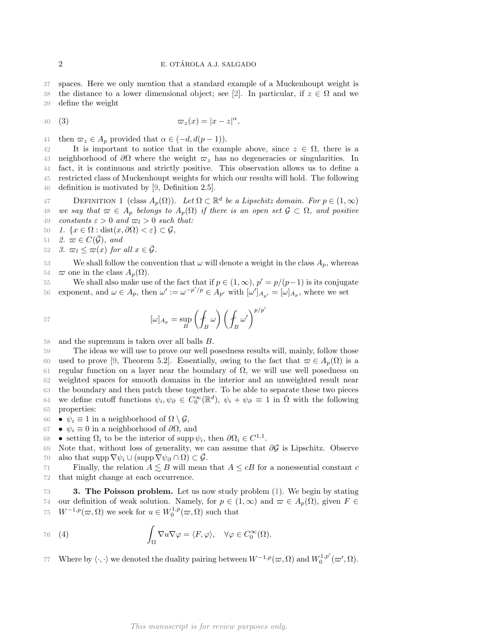37 spaces. Here we only mention that a standard example of a Muckenhoupt weight is 38 the distance to a lower dimensional object; see [\[2\]](#page-11-5). In particular, if  $z \in \Omega$  and we 39 define the weight

<span id="page-1-2"></span>
$$
\varpi_z(x) = |x - z|^{\alpha},
$$

41 then  $\varpi_z \in A_p$  provided that  $\alpha \in (-d, d(p-1)).$ 

42 It is important to notice that in the example above, since  $z \in \Omega$ , there is a 43 neighborhood of  $\partial\Omega$  where the weight  $\varpi_z$  has no degeneracies or singularities. In 44 fact, it is continuous and strictly positive. This observation allows us to define a 45 restricted class of Muckenhoupt weights for which our results will hold. The following 46 definition is motivated by [\[9,](#page-11-6) Definition 2.5].

**DEFINITION 1** (class  $A_p(\Omega)$ ). Let  $\Omega \subset \mathbb{R}^d$  be a Lipschitz domain. For  $p \in (1, \infty)$ 48 we say that  $\varpi \in A_p$  belongs to  $A_p(\Omega)$  if there is an open set  $\mathcal{G} \subset \Omega$ , and positive 49 constants  $\varepsilon > 0$  and  $\varpi_l > 0$  such that:

50 1.  $\{x \in \Omega : \text{dist}(x, \partial \Omega) < \varepsilon\} \subset \mathcal{G},$ 

51 2.  $\varpi \in C(\mathcal{G})$ , and

52 3.  $\varpi_l \leq \varpi(x)$  for all  $x \in \overline{\mathcal{G}}$ .

53 We shall follow the convention that  $\omega$  will denote a weight in the class  $A_p$ , whereas 54  $\varpi$  one in the class  $A_p(\Omega)$ .

We shall also make use of the fact that if  $p \in (1,\infty)$ ,  $p' = p/(p-1)$  is its conjugate 56 exponent, and  $\omega \in A_p$ , then  $\omega' := \omega^{-p'/p} \in A_{p'}$  with  $[\omega']_{A_{p'}} = [\omega]_{A_p}$ , where we set

$$
[{\omega}]_{A_p} = \sup_B \left( \oint_B {\omega} \right) \left( \oint_B {\omega'} \right)^{p/p'}
$$

58 and the supremum is taken over all balls B.

59 The ideas we will use to prove our well posedness results will, mainly, follow those 60 used to prove [\[9,](#page-11-6) Theorem 5.2]. Essentially, owing to the fact that  $\varpi \in A_p(\Omega)$  is a 61 regular function on a layer near the boundary of  $\Omega$ , we will use well posedness on 62 weighted spaces for smooth domains in the interior and an unweighted result near 63 the boundary and then patch these together. To be able to separate these two pieces 64 we define cutoff functions  $\psi_i, \psi_\partial \in C_0^\infty(\mathbb{R}^d)$ ,  $\psi_i + \psi_\partial \equiv 1$  in  $\overline{\Omega}$  with the following 65 properties:

66 •  $\psi_i \equiv 1$  in a neighborhood of  $\Omega \setminus \mathcal{G}$ ,

 $67$  •  $ψ<sub>i</sub> ≡ 0$  in a neighborhood of  $\partial\Omega$ , and

68 • setting  $\Omega_i$  to be the interior of supp  $\psi_i$ , then  $\partial \Omega_i \in C^{1,1}$ .

69 Note that, without loss of generality, we can assume that  $\partial \mathcal{G}$  is Lipschitz. Observe 70 also that supp  $\nabla \psi_i \cup (\text{supp } \nabla \psi_\partial \cap \Omega) \subset \mathcal{G}$ .

71 Finally, the relation  $A \lesssim B$  will mean that  $A \leq cB$  for a nonessential constant c 72 that might change at each occurrence.

<span id="page-1-0"></span>**3. The Poisson problem.** Let us now study problem [\(1\)](#page-0-0). We begin by stating 74 our definition of weak solution. Namely, for  $p \in (1,\infty)$  and  $\varpi \in A_p(\Omega)$ , given  $F \in$ 75  $W^{-1,p}(\varpi, \Omega)$  we seek for  $u \in W_0^{1,p}(\varpi, \Omega)$  such that

<span id="page-1-1"></span>76 (4) 
$$
\int_{\Omega} \nabla u \nabla \varphi = \langle F, \varphi \rangle, \quad \forall \varphi \in C_0^{\infty}(\Omega).
$$

77 Where by  $\langle \cdot, \cdot \rangle$  we denoted the duality pairing between  $W^{-1,p}(\varpi, \Omega)$  and  $W_0^{1,p'}(\varpi', \Omega)$ .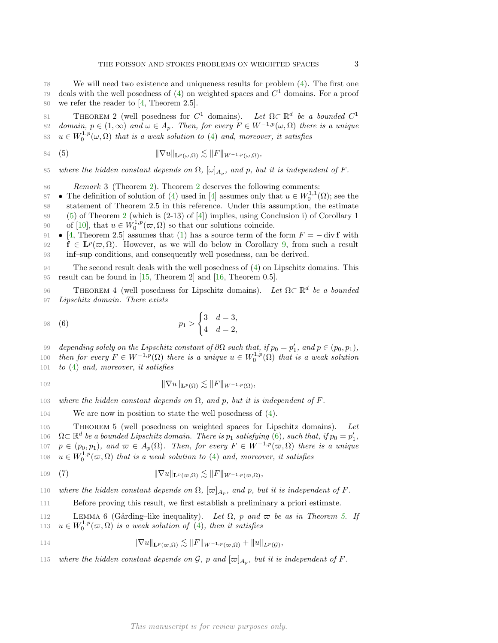<span id="page-2-0"></span>THEOREM 2 (well posedness for  $C^1$  domains). Let  $\Omega \subset \mathbb{R}^d$  be a bounded  $C^1$ 81 82 domain,  $p \in (1,\infty)$  and  $\omega \in A_p$ . Then, for every  $F \in W^{-1,p}(\omega,\Omega)$  there is a unique 83  $u \in W_0^{1,p}(\omega,\Omega)$  that is a weak solution to [\(4\)](#page-1-1) and, moreover, it satisfies

<span id="page-2-1"></span>84 (5) 
$$
\|\nabla u\|_{\mathbf{L}^p(\omega,\Omega)} \lesssim \|F\|_{W^{-1,p}(\omega,\Omega)},
$$

85 where the hidden constant depends on  $\Omega$ ,  $[\omega]_{A_p}$ , and p, but it is independent of F.

86 Remark 3 (Theorem [2\)](#page-2-0). Theorem [2](#page-2-0) deserves the following comments:

- 87 **•** The definition of solution of [\(4\)](#page-1-1) used in [\[4\]](#page-11-7) assumes only that  $u \in W_0^{1,1}(\Omega)$ ; see the 88 statement of Theorem 2.5 in this reference. Under this assumption, the estimate 89 [\(5\)](#page-2-1) of Theorem [2](#page-2-0) (which is (2-13) of [\[4\]](#page-11-7)) implies, using Conclusion i) of Corollary 1 90 of [\[10\]](#page-11-8), that  $u \in W_0^{1,p}(\varpi,\Omega)$  so that our solutions coincide.
- 91 [\[4,](#page-11-7) Theorem 2.5] assumes that [\(1\)](#page-0-0) has a source term of the form  $F = \text{div } \mathbf{f}$  with 92 **f**  $\in$   $\mathbf{L}^p(\varpi,\Omega)$ . However, as we will do below in Corollary [9,](#page-5-0) from such a result 93 inf–sup conditions, and consequently well posedness, can be derived.

94 The second result deals with the well posedness of [\(4\)](#page-1-1) on Lipschitz domains. This 95 result can be found in  $[15,$  Theorem 2 and  $[16,$  Theorem 0.5.

<span id="page-2-4"></span>96 THEOREM 4 (well posedness for Lipschitz domains). Let  $\Omega \subset \mathbb{R}^d$  be a bounded 97 Lipschitz domain. There exists

<span id="page-2-2"></span>98 (6) 
$$
p_1 > \begin{cases} 3 & d = 3, \\ 4 & d = 2, \end{cases}
$$

99 depending solely on the Lipschitz constant of  $\partial\Omega$  such that, if  $p_0 = p'_1$ , and  $p \in (p_0, p_1)$ ,

100 then for every  $F \in W^{-1,p}(\Omega)$  there is a unique  $u \in W_0^{1,p}(\Omega)$  that is a weak solution  $101$  to  $(4)$  and, moreover, it satisfies

$$
\|\nabla u\|_{\mathbf{L}^p(\Omega)} \lesssim \|F\|_{W^{-1,p}(\Omega)},
$$

103 where the hidden constant depends on  $\Omega$ , and p, but it is independent of F.

104 We are now in position to state the well posedness of [\(4\)](#page-1-1).

<span id="page-2-3"></span> Theorem 5 (well posedness on weighted spaces for Lipschitz domains). Let  $\Omega \subset \mathbb{R}^d$  be a bounded Lipschitz domain. There is  $p_1$  satisfying  $(6)$ , such that, if  $p_0 = p'_1$ ,  $p \in (p_0, p_1)$ , and  $\varpi \in A_p(\Omega)$ . Then, for every  $F \in W^{-1,p}(\varpi, \Omega)$  there is a unique  $u \in W_0^{1,p}(\varpi,\Omega)$  that is a weak solution to [\(4\)](#page-1-1) and, moreover, it satisfies

<span id="page-2-5"></span>109 (7) 
$$
\|\nabla u\|_{\mathbf{L}^p(\varpi,\Omega)} \lesssim \|F\|_{W^{-1,p}(\varpi,\Omega)},
$$

110 where the hidden constant depends on  $\Omega$ ,  $[\varpi]_{A_p}$ , and p, but it is independent of F.

111 Before proving this result, we first establish a preliminary a priori estimate.

<span id="page-2-6"></span>112 LEMMA 6 (Gårding–like inequality). Let  $\Omega$ , p and  $\varpi$  be as in Theorem [5.](#page-2-3) If 113  $u \in W_0^{1,p}(\varpi,\Omega)$  is a weak solution of [\(4\)](#page-1-1), then it satisfies

$$
||\nabla u||_{\mathbf{L}^p(\varpi,\Omega)} \lesssim ||F||_{W^{-1,p}(\varpi,\Omega)} + ||u||_{L^p(\mathcal{G})},
$$

115 where the hidden constant depends on  $\mathcal{G}$ , p and  $[\varpi]_{A_p}$ , but it is independent of F.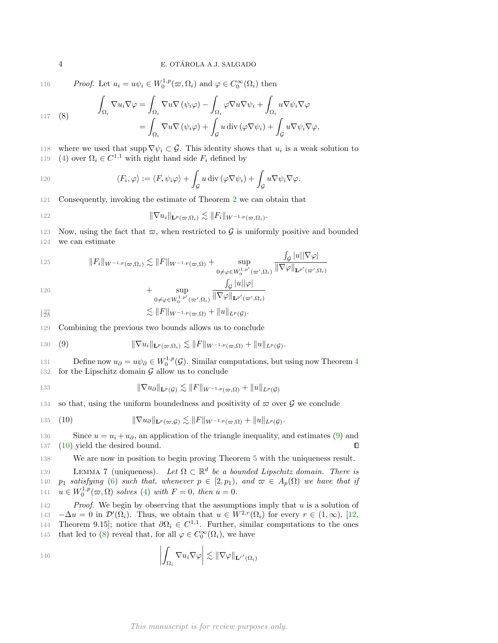116 Proof. Let  $u_i = u\psi_i \in W_0^{1,p}(\varpi, \Omega_i)$  and  $\varphi \in C_0^{\infty}(\Omega_i)$  then

<span id="page-3-2"></span>
$$
\int_{\Omega_i} \nabla u_i \nabla \varphi = \int_{\Omega_i} \nabla u \nabla (\psi_i \varphi) - \int_{\Omega_i} \varphi \nabla u \nabla \psi_i + \int_{\Omega_i} u \nabla \psi_i \nabla \varphi
$$
\n
$$
= \int_{\Omega_i} \nabla u \nabla (\psi_i \varphi) + \int_{\mathcal{G}} u \operatorname{div} (\varphi \nabla \psi_i) + \int_{\mathcal{G}} u \nabla \psi_i \nabla \varphi,
$$

118 where we used that supp  $\nabla \psi_i \subset \overline{\mathcal{G}}$ . This identity shows that  $u_i$  is a weak solution to

119 [\(4\)](#page-1-1) over  $\Omega_i \in C^{1,1}$  with right hand side  $F_i$  defined by

120 
$$
\langle F_i, \varphi \rangle := \langle F, \psi_i \varphi \rangle + \int_{\mathcal{G}} u \operatorname{div} (\varphi \nabla \psi_i) + \int_{\mathcal{G}} u \nabla \psi_i \nabla \varphi.
$$

121 Consequently, invoking the estimate of Theorem [2](#page-2-0) we can obtain that

122 
$$
\|\nabla u_i\|_{\mathbf{L}^p(\varpi,\Omega_i)} \lesssim \|F_i\|_{W^{-1,p}(\varpi,\Omega_i)}.
$$

123 Now, using the fact that  $\varpi$ , when restricted to G is uniformly positive and bounded

124 we can estimate

125 
$$
||F_i||_{W^{-1,p}(\varpi,\Omega_i)} \lesssim ||F||_{W^{-1,p}(\varpi,\Omega)} + \sup_{0 \neq \varphi \in W_0^{1,p'}(\varpi',\Omega_i)} \frac{\int_{\mathcal{G}} |u||\nabla \varphi|}{\|\nabla \varphi\|_{\mathbf{L}^{p'}(\varpi',\Omega_i)}}
$$

$$
126\,
$$

$$
+\sup_{0\neq\varphi\in W_0^{1,p'}(\varpi',\Omega_i)}\frac{\int_{\mathcal{G}}|u||\varphi|}{\|\nabla\varphi\|_{\mathbf{L}^{p'}(\varpi',\Omega_i)}}
$$

$$
\lesssim \|F\|_{W^{-1,p}(\varpi,\Omega)} + \|u\|_{L^p(\mathcal{G})}.
$$

129 Combining the previous two bounds allows us to conclude

<span id="page-3-0"></span>130 (9) 
$$
\|\nabla u_i\|_{\mathbf{L}^p(\varpi,\Omega_i)} \lesssim \|F\|_{W^{-1,p}(\varpi,\Omega)} + \|u\|_{L^p(\mathcal{G})}.
$$

131 Define now  $u_{\partial} = u\psi_{\partial} \in W_0^{1,p}(\mathcal{G})$ . Similar computations, but using now Theorem [4](#page-2-4) 132 for the Lipschitz domain  $G$  allow us to conclude

$$
\|\nabla u_{\partial}\|_{\mathbf{L}^p(\mathcal{G})} \lesssim \|F\|_{W^{-1,p}(\varpi,\Omega)} + \|u\|_{L^p(\mathcal{G})}
$$

134 so that, using the uniform boundedness and positivity of  $\varpi$  over  $\mathcal G$  we conclude

<span id="page-3-1"></span>135 (10) 
$$
\|\nabla u_{\partial}\|_{\mathbf{L}^p(\varpi,\mathcal{G})} \lesssim \|F\|_{W^{-1,p}(\varpi,\Omega)} + \|u\|_{L^p(\mathcal{G})}.
$$

136 Since  $u = u_i + u_\partial$ , an application of the triangle inequality, and estimates [\(9\)](#page-3-0) and 137 [\(10\)](#page-3-1) yield the desired bound.  $\Box$ 

138 We are now in position to begin proving Theorem [5](#page-2-3) with the uniqueness result.

<span id="page-3-3"></span>139 LEMMA 7 (uniqueness). Let  $\Omega \subset \mathbb{R}^d$  be a bounded Lipschitz domain. There is 140 p<sub>1</sub> satisfying [\(6\)](#page-2-2) such that, whenever  $p \in [2, p_1)$ , and  $\varpi \in A_p(\Omega)$  we have that if 141  $u \in W_0^{1,p}(\varpi, \Omega)$  solves [\(4\)](#page-1-1) with  $F = 0$ , then  $u = 0$ .

142 Proof. We begin by observing that the assumptions imply that u is a solution of 143  $-\Delta u = 0$  in  $\mathcal{D}'(\Omega_i)$ . Thus, we obtain that  $u \in W^{2,r}(\Omega_i)$  for every  $r \in (1,\infty)$ , [\[12,](#page-11-11) 144 Theorem 9.15]; notice that  $\partial\Omega_i \in C^{1,1}$ . Further, similar computations to the ones 145 that led to [\(8\)](#page-3-2) reveal that, for all  $\varphi \in C_0^{\infty}(\Omega_i)$ , we have

146 
$$
\left| \int_{\Omega_i} \nabla u_i \nabla \varphi \right| \lesssim \|\nabla \varphi\|_{\mathbf{L}^{r'}(\Omega_i)}
$$

This manuscript is for review purposes only.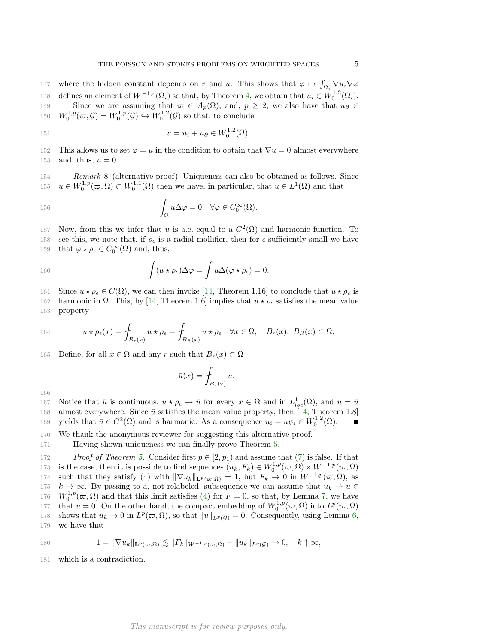147 where the hidden constant depends on r and u. This shows that  $\varphi \mapsto \int_{\Omega_i} \nabla u_i \nabla \varphi$ 148 defines an element of  $W^{-1,r}(\Omega_i)$  so that, by Theorem [4,](#page-2-4) we obtain that  $u_i \in W_0^{1,2}(\Omega_i)$ . 149 Since we are assuming that  $\varpi \in A_p(\Omega)$ , and,  $p \geq 2$ , we also have that  $u_{\partial} \in$ 150  $W_0^{1,p}(\varpi, \mathcal{G}) = W_0^{1,p}(\mathcal{G}) \hookrightarrow W_0^{1,2}(\mathcal{G})$  so that, to conclude

151 
$$
u = u_i + u_\partial \in W_0^{1,2}(\Omega)
$$
.

152 This allows us to set  $\varphi = u$  in the condition to obtain that  $\nabla u = 0$  almost everywhere 153 and, thus,  $u = 0$ .  $\Box$ 

154 Remark 8 (alternative proof). Uniqueness can also be obtained as follows. Since 155  $u \in W_0^{1,p}(\varpi,\Omega) \subset W_0^{1,1}(\Omega)$  then we have, in particular, that  $u \in L^1(\Omega)$  and that

156 
$$
\int_{\Omega} u \Delta \varphi = 0 \quad \forall \varphi \in C_0^{\infty}(\Omega).
$$

157 Now, from this we infer that u is a.e. equal to a  $C^2(\Omega)$  and harmonic function. To 158 see this, we note that, if  $\rho_{\epsilon}$  is a radial mollifier, then for  $\epsilon$  sufficiently small we have 159 that  $\varphi \star \rho_{\epsilon} \in C_0^{\infty}(\Omega)$  and, thus,

160 
$$
\int (u \star \rho_{\epsilon}) \Delta \varphi = \int u \Delta (\varphi \star \rho_{\epsilon}) = 0.
$$

161 Since  $u \star \rho_{\epsilon} \in C(\Omega)$ , we can then invoke [\[14,](#page-11-12) Theorem 1.16] to conclude that  $u \star \rho_{\epsilon}$  is

162 harmonic in Ω. This, by [\[14,](#page-11-12) Theorem 1.6] implies that  $u \star \rho_\epsilon$  satisfies the mean value 163 property

164 
$$
u \star \rho_{\epsilon}(x) = \int_{B_r(x)} u \star \rho_{\epsilon} = \int_{B_R(x)} u \star \rho_{\epsilon} \quad \forall x \in \Omega, \quad B_r(x), B_R(x) \subset \Omega.
$$

165 Define, for all  $x \in \Omega$  and any r such that  $B_r(x) \subset \Omega$ 

$$
\bar{u}(x) = \int_{B_r(x)} u.
$$

166

167 Notice that  $\bar{u}$  is continuous,  $u \star \rho_{\epsilon} \to \bar{u}$  for every  $x \in \Omega$  and in  $L^1_{loc}(\Omega)$ , and  $u = \bar{u}$ 168 almost everywhere. Since  $\bar{u}$  satisfies the mean value property, then [\[14,](#page-11-12) Theorem 1.8]

169 yields that  $\bar{u} \in C^2(\Omega)$  and is harmonic. As a consequence  $u_i = u\psi_i \in W_0^{1,2}(\Omega)$ .

170 We thank the anonymous reviewer for suggesting this alternative proof.

171 Having shown uniqueness we can finally prove Theorem [5.](#page-2-3)

172 Proof of Theorem [5.](#page-2-3) Consider first  $p \in [2, p_1)$  and assume that [\(7\)](#page-2-5) is false. If that 173 is the case, then it is possible to find sequences  $(u_k, F_k) \in W_0^{1,p}(\varpi, \Omega) \times W^{-1,p}(\varpi, \Omega)$ 174 such that they satisfy [\(4\)](#page-1-1) with  $\|\nabla u_k\|_{\mathbf{L}^p(\varpi,\Omega)} = 1$ , but  $F_k \to 0$  in  $W^{-1,p}(\varpi,\Omega)$ , as 175  $k \to \infty$ . By passing to a, not relabeled, subsequence we can assume that  $u_k \rightharpoonup u \in$ 176  $W_0^{1,p}(\varpi,\Omega)$  and that this limit satisfies [\(4\)](#page-1-1) for  $F=0$ , so that, by Lemma [7,](#page-3-3) we have 177 that  $u = 0$ . On the other hand, the compact embedding of  $W_0^{1,p}(\varpi,\Omega)$  into  $L^p(\varpi,\Omega)$ 178 shows that  $u_k \to 0$  in  $L^p(\varpi, \Omega)$ , so that  $||u||_{L^p(\mathcal{G})} = 0$ . Consequently, using Lemma [6,](#page-2-6) 179 we have that

180 
$$
1 = \|\nabla u_k\|_{\mathbf{L}^p(\varpi,\Omega)} \lesssim \|F_k\|_{W^{-1,p}(\varpi,\Omega)} + \|u_k\|_{L^p(\mathcal{G})} \to 0, \quad k \uparrow \infty,
$$

181 which is a contradiction.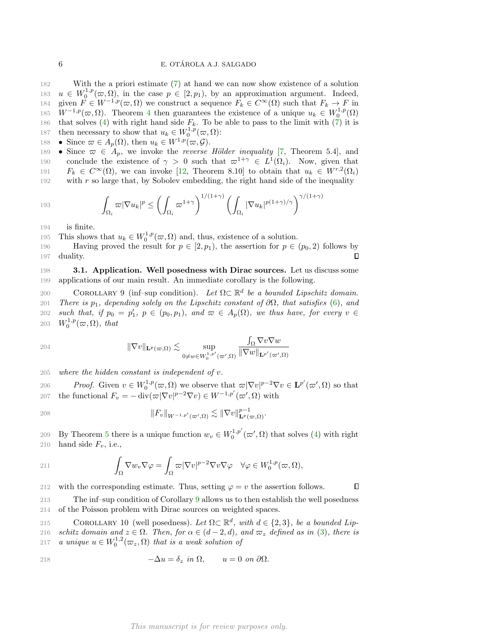182 With the a priori estimate [\(7\)](#page-2-5) at hand we can now show existence of a solution 183  $u \in W_0^{1,p}(\varpi,\Omega)$ , in the case  $p \in [2,p_1)$ , by an approximation argument. Indeed, 184 given  $F \in W^{-1,p}(\varpi, \Omega)$  we construct a sequence  $F_k \in C^{\infty}(\Omega)$  such that  $F_k \to F$  in 185  $W^{-1,p}(\varpi,\Omega)$ . Theorem [4](#page-2-4) then guarantees the existence of a unique  $u_k \in W_0^{1,p}(\Omega)$ 186 that solves [\(4\)](#page-1-1) with right hand side  $F_k$ . To be able to pass to the limit with [\(7\)](#page-2-5) it is 187 then necessary to show that  $u_k \in W_0^{1,p}(\varpi,\Omega)$ :

 $188$  • Since  $\varpi \in A_p(\Omega)$ , then  $u_k \in W^{1,p}(\varpi, \mathcal{G})$ .

189 • Since  $\varpi \in A_p$ , we invoke the *reverse Hölder inequality* [\[7,](#page-11-1) Theorem 5.4], and 190 conclude the existence of  $\gamma > 0$  such that  $\varpi^{1+\gamma} \in L^1(\Omega_i)$ . Now, given that 191  $F_k \in C^{\infty}(\Omega)$ , we can invoke [\[12,](#page-11-11) Theorem 8.10] to obtain that  $u_k \in W^{r,2}(\Omega_i)$ 192 with  $r$  so large that, by Sobolev embedding, the right hand side of the inequality

193 
$$
\int_{\Omega_i} \varpi |\nabla u_k|^p \leq \left(\int_{\Omega_i} \varpi^{1+\gamma}\right)^{1/(1+\gamma)} \left(\int_{\Omega_i} |\nabla u_k|^{p(1+\gamma)/\gamma}\right)^{\gamma/(1+\gamma)}
$$

194 is finite.

195 This shows that  $u_k \in W_0^{1,p}(\varpi, \Omega)$  and, thus, existence of a solution.

196 Having proved the result for  $p \in [2, p_1)$ , the assertion for  $p \in (p_0, 2)$  follows by П 197 duality.

198 3.1. Application. Well posedness with Dirac sources. Let us discuss some 199 applications of our main result. An immediate corollary is the following.

COROLLARY 9 (inf–sup condition). Let  $\Omega \subset \mathbb{R}^d$  be a bounded Lipschitz domain. 201 There is  $p_1$ , depending solely on the Lipschitz constant of  $\partial\Omega$ , that satisfies [\(6\)](#page-2-2), and 202 such that, if  $p_0 = p'_1, p \in (p_0, p_1),$  and  $\varpi \in A_p(\Omega)$ , we thus have, for every  $v \in$ 203  $W_0^{1,p}(\varpi,\Omega)$ , that

204 
$$
\|\nabla v\|_{\mathbf{L}^p(\varpi,\Omega)} \lesssim \sup_{0 \neq w \in W_0^{1,p'}(\varpi',\Omega)} \frac{\int_{\Omega} \nabla v \nabla w}{\|\nabla w\|_{\mathbf{L}^{p'}(\varpi',\Omega)}}
$$

 $205$  where the hidden constant is independent of v.

206 Proof. Given  $v \in W_0^{1,p}(\varpi, \Omega)$  we observe that  $\varpi |\nabla v|^{p-2} \nabla v \in {\bf L}^{p'}(\varpi', \Omega)$  so that 207 the functional  $F_v = -\operatorname{div}(\varpi |\nabla v|^{p-2} \nabla v) \in W^{-1,p'}(\varpi',\Omega)$  with

$$
||F_v||_{W^{-1,p'}(\varpi',\Omega)} \lesssim ||\nabla v||_{\mathbf{L}^p(\varpi,\Omega)}^{p-1}.
$$

209 By Theorem [5](#page-2-3) there is a unique function  $w_v \in W_0^{1,p'}(\varpi', \Omega)$  that solves [\(4\)](#page-1-1) with right 210 hand side  $F_v$ , i.e.,

$$
211 \qquad \qquad \int_{\Omega} \nabla w_{v} \nabla \varphi = \int_{\Omega} \varpi |\nabla v|^{p-2} \nabla v \nabla \varphi \quad \forall \varphi \in W_{0}^{1,p}(\varpi, \Omega),
$$

212 with the corresponding estimate. Thus, setting  $\varphi = v$  the assertion follows.

<span id="page-5-0"></span> $\Box$ 

213 The inf–sup condition of Corollary [9](#page-5-0) allows us to then establish the well posedness 214 of the Poisson problem with Dirac sources on weighted spaces.

215 COROLLARY 10 (well posedness). Let  $\Omega \subset \mathbb{R}^d$ , with  $d \in \{2,3\}$ , be a bounded Lip-216 schitz domain and  $z \in \Omega$ . Then, for  $\alpha \in (d-2, d)$ , and  $\varpi_z$  defined as in [\(3\)](#page-1-2), there is 217 a unique  $u \in W_0^{1,2}(\varpi_z, \Omega)$  that is a weak solution of

$$
- \Delta u = \delta_z \text{ in } \Omega, \qquad u = 0 \text{ on } \partial \Omega.
$$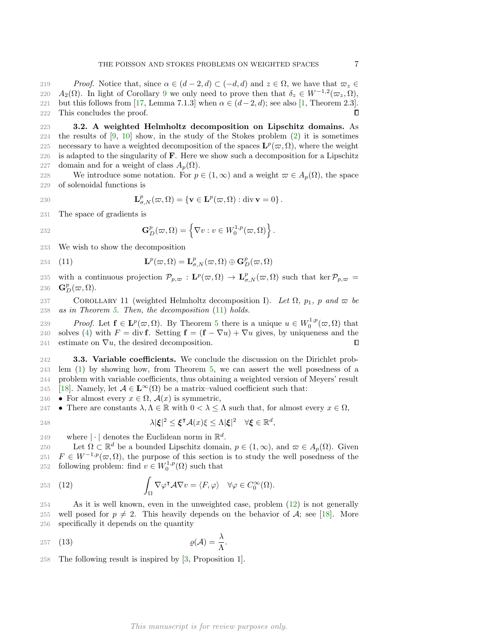219 Proof. Notice that, since  $\alpha \in (d-2, d) \subset (-d, d)$  and  $z \in \Omega$ , we have that  $\varpi_z \in \Omega$ 220  $A_2(\Omega)$ . In light of Corollary [9](#page-5-0) we only need to prove then that  $\delta_z \in W^{-1,2}(\varpi_z,\Omega)$ , 221 but this follows from [\[17,](#page-11-13) Lemma 7.1.3] when  $\alpha \in (d-2, d)$ ; see also [\[1,](#page-11-14) Theorem 2.3]. 222 This concludes the proof. П

223 3.2. A weighted Helmholtz decomposition on Lipschitz domains. As 224 the results of  $[9, 10]$  $[9, 10]$  $[9, 10]$  show, in the study of the Stokes problem  $(2)$  it is sometimes 225 necessary to have a weighted decomposition of the spaces  $\mathbf{L}^p(\varpi,\Omega)$ , where the weight 226 is adapted to the singularity of F. Here we show such a decomposition for a Lipschitz 227 domain and for a weight of class  $A_p(\Omega)$ .

228 We introduce some notation. For  $p \in (1,\infty)$  and a weight  $\varpi \in A_p(\Omega)$ , the space 229 of solenoidal functions is

230 
$$
\mathbf{L}_{\sigma,N}^p(\varpi,\Omega) = \{ \mathbf{v} \in \mathbf{L}^p(\varpi,\Omega) : \text{div}\,\mathbf{v} = 0 \}.
$$

231 The space of gradients is

232 
$$
\mathbf{G}_D^p(\varpi,\Omega)=\left\{\nabla v:v\in W_0^{1,p}(\varpi,\Omega)\right\}.
$$

233 We wish to show the decomposition

<span id="page-6-0"></span>234 (11) 
$$
\mathbf{L}^p(\varpi,\Omega)=\mathbf{L}^p_{\sigma,N}(\varpi,\Omega)\oplus\mathbf{G}^p_D(\varpi,\Omega)
$$

235 with a continuous projection  $\mathcal{P}_{p,\varpi}: \mathbf{L}^p(\varpi,\Omega) \to \mathbf{L}^p_{\sigma,N}(\varpi,\Omega)$  such that ker  $\mathcal{P}_{p,\varpi}$ 236  $\mathbf{G}_D^p(\varpi,\Omega)$ .

<span id="page-6-2"></span>237 COROLLARY 11 (weighted Helmholtz decomposition I). Let  $\Omega$ ,  $p_1$ , p and  $\varpi$  be 238 as in Theorem [5.](#page-2-3) Then, the decomposition [\(11\)](#page-6-0) holds.

239 Proof. Let  $f \in L^p(\varpi, \Omega)$ . By Theorem [5](#page-2-3) there is a unique  $u \in W_0^{1,p}(\varpi, \Omega)$  that 240 solves [\(4\)](#page-1-1) with  $F = \text{div } \mathbf{f}$ . Setting  $\mathbf{f} = (\mathbf{f} - \nabla u) + \nabla u$  gives, by uniqueness and the 241 estimate on  $\nabla u$ , the desired decomposition.  $\Box$ 

242 3.3. Variable coefficients. We conclude the discussion on the Dirichlet prob- lem [\(1\)](#page-0-0) by showing how, from Theorem [5,](#page-2-3) we can assert the well posedness of a problem with variable coefficients, thus obtaining a weighted version of Meyers' result [\[18\]](#page-11-15). Namely, let  $A \in \mathbf{L}^{\infty}(\Omega)$  be a matrix-valued coefficient such that:

246 • For almost every  $x \in \Omega$ ,  $\mathcal{A}(x)$  is symmetric,

247 • There are constants  $\lambda, \Lambda \in \mathbb{R}$  with  $0 < \lambda \leq \Lambda$  such that, for almost every  $x \in \Omega$ ,

$$
\lambda |\xi|^2 \leq \xi^{\intercal} \mathcal{A}(x)\xi \leq \Lambda |\xi|^2 \quad \forall \xi \in \mathbb{R}^d,
$$

249 where  $|\cdot|$  denotes the Euclidean norm in  $\mathbb{R}^d$ .

250 Let  $\Omega \subset \mathbb{R}^d$  be a bounded Lipschitz domain,  $p \in (1,\infty)$ , and  $\varpi \in A_p(\Omega)$ . Given 251  $F \in W^{-1,p}(\varpi, \Omega)$ , the purpose of this section is to study the well posedness of the 252 following problem: find  $v \in W_0^{1,p}(\Omega)$  such that

<span id="page-6-1"></span>253 (12) 
$$
\int_{\Omega} \nabla \varphi^{\mathsf{T}} A \nabla v = \langle F, \varphi \rangle \quad \forall \varphi \in C_0^{\infty}(\Omega).
$$

254 As it is well known, even in the unweighted case, problem [\(12\)](#page-6-1) is not generally 255 well posed for  $p \neq 2$ . This heavily depends on the behavior of A; see [\[18\]](#page-11-15). More 256 specifically it depends on the quantity

$$
257 \quad (13) \qquad \qquad \varrho(\mathcal{A}) = \frac{\lambda}{\Lambda}.
$$

258 The following result is inspired by [\[3,](#page-11-16) Proposition 1].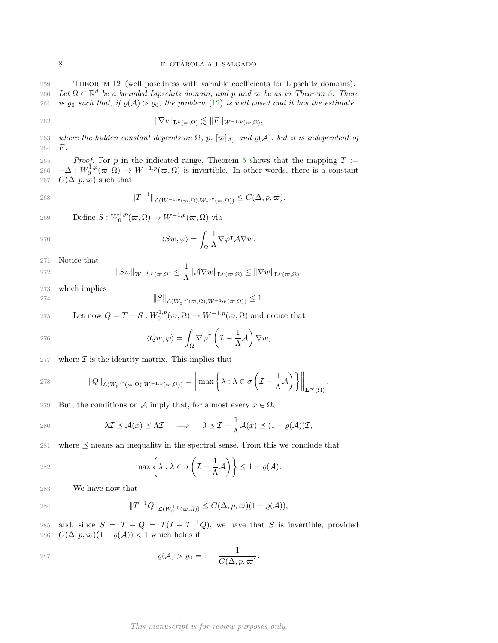<sup>259</sup> Theorem 12 (well posedness with variable coefficients for Lipschitz domains).

260 Let  $\Omega \subset \mathbb{R}^d$  be a bounded Lipschitz domain, and p and  $\varpi$  be as in Theorem [5.](#page-2-3) There

261 is  $\varrho_0$  such that, if  $\varrho(\mathcal{A}) > \varrho_0$ , the problem [\(12\)](#page-6-1) is well posed and it has the estimate

262 
$$
\|\nabla v\|_{\mathbf{L}^p(\varpi,\Omega)} \lesssim \|F\|_{W^{-1,p}(\varpi,\Omega)},
$$

263 where the hidden constant depends on  $\Omega$ , p,  $[\varpi]_{A_p}$  and  $\varrho(\mathcal{A})$ , but it is independent of 264 F. 264

26[5](#page-2-3) Proof. For p in the indicated range, Theorem 5 shows that the mapping  $T :=$ 266  $-\Delta: W_0^{1,p}(\varpi,\Omega) \to W^{-1,p}(\varpi,\Omega)$  is invertible. In other words, there is a constant 267  $C(\Delta, p, \varpi)$  such that

$$
||T^{-1}||_{\mathcal{L}(W^{-1,p}(\varpi,\Omega),W_0^{1,p}(\varpi,\Omega))} \leq C(\Delta,p,\varpi).
$$

269 Define  $S: W_0^{1,p}(\varpi, \Omega) \to W^{-1,p}(\varpi, \Omega)$  via

$$
\langle Sw, \varphi \rangle = \int_{\Omega} \frac{1}{\Lambda} \nabla \varphi^{\mathsf{T}} A \nabla w.
$$

271 Notice that

272 
$$
||Sw||_{W^{-1,p}(\varpi,\Omega)} \leq \frac{1}{\Lambda} ||\mathcal{A}\nabla w||_{\mathbf{L}^p(\varpi,\Omega)} \leq ||\nabla w||_{\mathbf{L}^p(\varpi,\Omega)},
$$

273 which implies

274 
$$
||S||_{\mathcal{L}(W_0^{1,p}(\varpi,\Omega),W^{-1,p}(\varpi,\Omega))} \leq 1.
$$

275 Let now  $Q = T - S : W_0^{1,p}(\varpi, \Omega) \to W^{-1,p}(\varpi, \Omega)$  and notice that

276 
$$
\langle Qw, \varphi \rangle = \int_{\Omega} \nabla \varphi^{\mathsf{T}} \left( \mathcal{I} - \frac{1}{\Lambda} \mathcal{A} \right) \nabla w,
$$

277 where  $\mathcal I$  is the identity matrix. This implies that

278 
$$
\|Q\|_{\mathcal{L}(W_0^{1,p}(\varpi,\Omega),W^{-1,p}(\varpi,\Omega))}=\left\|\max\left\{\lambda:\lambda\in\sigma\left(\mathcal{I}-\frac{1}{\Lambda}\mathcal{A}\right)\right\}\right\|_{\mathbf{L}^{\infty}(\Omega)}.
$$

279 But, the conditions on A imply that, for almost every  $x \in \Omega$ ,

280 
$$
\lambda \mathcal{I} \preceq \mathcal{A}(x) \preceq \Lambda \mathcal{I} \implies 0 \preceq \mathcal{I} - \frac{1}{\Lambda} \mathcal{A}(x) \preceq (1 - \varrho(\mathcal{A})) \mathcal{I},
$$

281 where  $\preceq$  means an inequality in the spectral sense. From this we conclude that

$$
\max\left\{\lambda:\lambda\in\sigma\left(\mathcal{I}-\frac{1}{\Lambda}\mathcal{A}\right)\right\}\leq 1-\varrho(\mathcal{A}).
$$

283 We have now that

284 
$$
||T^{-1}Q||_{\mathcal{L}(W_0^{1,p}(\varpi,\Omega))} \leq C(\Delta,p,\varpi)(1-\varrho(\mathcal{A})),
$$

285 and, since  $S = T - Q = T(I - T^{-1}Q)$ , we have that S is invertible, provided 286  $C(\Delta, p, \varpi)(1 - \varrho(\mathcal{A})) < 1$  which holds if

$$
\varrho(\mathcal{A}) > \varrho_0 = 1 - \frac{1}{C(\Delta, p, \varpi)}.
$$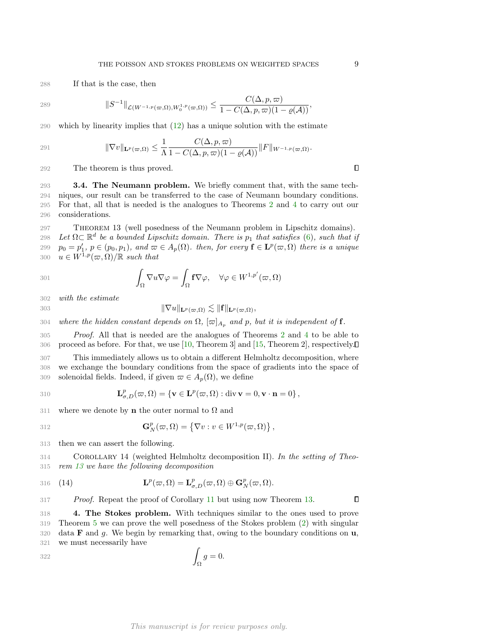288 If that is the case, then

289 
$$
\|S^{-1}\|_{\mathcal{L}(W^{-1,p}(\varpi,\Omega),W_0^{1,p}(\varpi,\Omega))} \leq \frac{C(\Delta,p,\varpi)}{1-C(\Delta,p,\varpi)(1-\varrho(\mathcal{A}))},
$$

290 which by linearity implies that [\(12\)](#page-6-1) has a unique solution with the estimate

291 
$$
\|\nabla v\|_{\mathbf{L}^p(\varpi,\Omega)} \leq \frac{1}{\Lambda} \frac{C(\Delta,p,\varpi)}{1-C(\Delta,p,\varpi)(1-\varrho(\mathcal{A}))} \|F\|_{W^{-1,p}(\varpi,\Omega)}.
$$

292 The theorem is thus proved.

293 3.4. The Neumann problem. We briefly comment that, with the same tech- niques, our result can be transferred to the case of Neumann boundary conditions. For that, all that is needed is the analogues to Theorems [2](#page-2-0) and [4](#page-2-4) to carry out our considerations.

<span id="page-8-1"></span> Theorem 13 (well posedness of the Neumann problem in Lipschitz domains). 298 Let  $\Omega \subset \mathbb{R}^d$  be a bounded Lipschitz domain. There is  $p_1$  that satisfies [\(6\)](#page-2-2), such that if  $p_0 = p'_1, p \in (p_0, p_1), \text{ and } \varpi \in A_p(\Omega)$ . then, for every  $f \in \mathbf{L}^p(\varpi, \Omega)$  there is a unique  $u \in W^{1,p}(\varpi, \Omega)/\mathbb{R}$  such that

301 
$$
\int_{\Omega} \nabla u \nabla \varphi = \int_{\Omega} f \nabla \varphi, \quad \forall \varphi \in W^{1,p'}(\varpi, \Omega)
$$

302 with the estimate

$$
\|\nabla u\|_{\mathbf{L}^p(\varpi,\Omega)} \lesssim \|\mathbf{f}\|_{\mathbf{L}^p(\varpi,\Omega)},
$$

304 where the hidden constant depends on  $\Omega$ ,  $[\varpi]_{A_p}$  and p, but it is independent of f.

 Proof. All that is needed are the analogues of Theorems [2](#page-2-0) and [4](#page-2-4) to be able to proceed as before. For that, we use [\[10,](#page-11-8) Theorem 3] and [\[15,](#page-11-9) Theorem 2], respectively. This immediately allows us to obtain a different Helmholtz decomposition, where we exchange the boundary conditions from the space of gradients into the space of

309 solenoidal fields. Indeed, if given  $\varpi \in A_p(\Omega)$ , we define

310 
$$
\mathbf{L}_{\sigma,D}^p(\varpi,\Omega) = \{ \mathbf{v} \in \mathbf{L}^p(\varpi,\Omega) : \text{div}\,\mathbf{v} = 0, \mathbf{v} \cdot \mathbf{n} = 0 \},
$$

311 where we denote by **n** the outer normal to  $\Omega$  and

312 
$$
\mathbf{G}_N^p(\varpi,\Omega) = \left\{\nabla v : v \in W^{1,p}(\varpi,\Omega)\right\},\,
$$

313 then we can assert the following.

<sup>314</sup> Corollary 14 (weighted Helmholtz decomposition II). In the setting of Theo-315 rem [13](#page-8-1) we have the following decomposition

316 (14) 
$$
\mathbf{L}^p(\varpi,\Omega)=\mathbf{L}^p_{\sigma,D}(\varpi,\Omega)\oplus\mathbf{G}^p_N(\varpi,\Omega).
$$

317 Proof. Repeat the proof of Corollary [11](#page-6-2) but using now Theorem [13.](#page-8-1)

<span id="page-8-0"></span> 4. The Stokes problem. With techniques similar to the ones used to prove Theorem [5](#page-2-3) we can prove the well posedness of the Stokes problem [\(2\)](#page-0-1) with singular 320 data **F** and g. We begin by remarking that, owing to the boundary conditions on  $\mathbf{u}$ , we must necessarily have

$$
\int_{\Omega} g = 0.
$$

 $\Box$ 

 $\Box$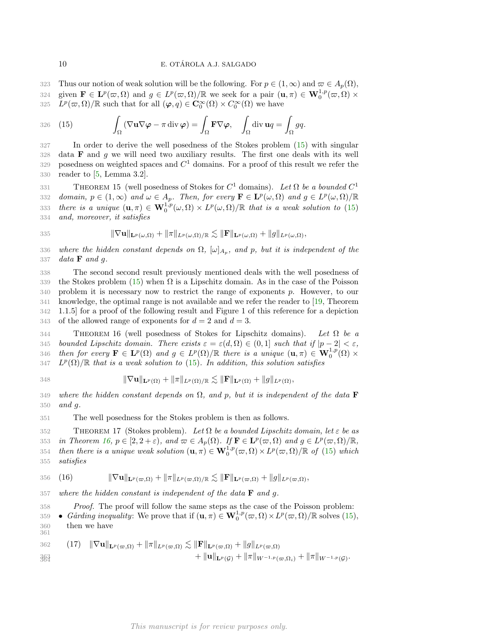323 Thus our notion of weak solution will be the following. For  $p \in (1,\infty)$  and  $\varpi \in A_p(\Omega)$ , 324 given  $\mathbf{F} \in \mathbf{L}^p(\omega,\Omega)$  and  $g \in L^p(\omega,\Omega)/\mathbb{R}$  we seek for a pair  $(\mathbf{u},\pi) \in \mathbf{W}_0^{1,p}(\omega,\Omega) \times$ 325  $\tilde{L}^p(\varpi,\Omega)/\mathbb{R}$  such that for all  $(\varphi,q)\in \mathbf{C}_0^{\infty}(\Omega)\times C_0^{\infty}(\Omega)$  we have

<span id="page-9-0"></span>326 (15) 
$$
\int_{\Omega} (\nabla \mathbf{u} \nabla \boldsymbol{\varphi} - \pi \operatorname{div} \boldsymbol{\varphi}) = \int_{\Omega} \mathbf{F} \nabla \boldsymbol{\varphi}, \quad \int_{\Omega} \operatorname{div} \mathbf{u} q = \int_{\Omega} g q.
$$

 In order to derive the well posedness of the Stokes problem [\(15\)](#page-9-0) with singular data **F** and g we will need two auxiliary results. The first one deals with its well 329 posedness on weighted spaces and  $C<sup>1</sup>$  domains. For a proof of this result we refer the reader to [\[5,](#page-11-17) Lemma 3.2].

<span id="page-9-2"></span>THEOREM 15 (well posedness of Stokes for  $C^1$  domains). Let  $\Omega$  be a bounded  $C^1$ 331 332 domain,  $p \in (1,\infty)$  and  $\omega \in A_p$ . Then, for every  $\mathbf{F} \in \mathbf{L}^p(\omega,\Omega)$  and  $g \in L^p(\omega,\Omega)/\mathbb{R}$ 333 there is a unique  $(\mathbf{u}, \pi) \in \mathbf{W}_0^{1,p}(\omega, \Omega) \times L^p(\omega, \Omega) / \mathbb{R}$  that is a weak solution to [\(15\)](#page-9-0) 334 and, moreover, it satisfies

$$
335 \qquad \|\nabla \mathbf{u}\|_{\mathbf{L}^p(\omega,\Omega)} + \|\pi\|_{L^p(\omega,\Omega)/\mathbb{R}} \lesssim \|\mathbf{F}\|_{\mathbf{L}^p(\omega,\Omega)} + \|g\|_{L^p(\omega,\Omega)},
$$

336 where the hidden constant depends on  $\Omega$ ,  $[\omega]_{A_p}$ , and p, but it is independent of the 337 data  $\bf{F}$  and  $\bf{g}$ .

 The second second result previously mentioned deals with the well posedness of 339 the Stokes problem [\(15\)](#page-9-0) when  $\Omega$  is a Lipschitz domain. As in the case of the Poisson problem it is necessary now to restrict the range of exponents p. However, to our knowledge, the optimal range is not available and we refer the reader to [\[19,](#page-11-18) Theorem 1.1.5] for a proof of the following result and Figure 1 of this reference for a depiction 343 of the allowed range of exponents for  $d = 2$  and  $d = 3$ .

<span id="page-9-1"></span>344 THEOREM 16 (well posedness of Stokes for Lipschitz domains). Let  $\Omega$  be a 345 bounded Lipschitz domain. There exists  $\varepsilon = \varepsilon(d, \Omega) \in (0, 1]$  such that if  $|p - 2| < \varepsilon$ , 346 then for every  $\mathbf{F} \in \mathbf{L}^p(\Omega)$  and  $g \in L^p(\Omega)/\mathbb{R}$  there is a unique  $(\mathbf{u}, \pi) \in \mathbf{W}_0^{1,p}(\Omega) \times$ 347  $L^p(\Omega)/\mathbb{R}$  that is a weak solution to [\(15\)](#page-9-0). In addition, this solution satisfies

348 
$$
\|\nabla \mathbf{u}\|_{\mathbf{L}^p(\Omega)} + \|\pi\|_{L^p(\Omega)/\mathbb{R}} \lesssim \|\mathbf{F}\|_{\mathbf{L}^p(\Omega)} + \|g\|_{L^p(\Omega)},
$$

349 where the hidden constant depends on  $\Omega$ , and p, but it is independent of the data **F** 350 and  $q$ .

351 The well posedness for the Stokes problem is then as follows.

352 THEOREM 17 (Stokes problem). Let  $\Omega$  be a bounded Lipschitz domain, let  $\varepsilon$  be as 353 in Theorem [16,](#page-9-1)  $p \in [2, 2 + \varepsilon)$ , and  $\omega \in A_p(\Omega)$ . If  $\mathbf{F} \in \mathbf{L}^p(\omega, \Omega)$  and  $g \in L^p(\omega, \Omega)/\mathbb{R}$ , 354 then there is a unique weak solution  $(\mathbf{u}, \pi) \in \mathbf{W}_0^{1,p}(\varpi, \Omega) \times L^p(\varpi, \Omega) / \mathbb{R}$  of [\(15\)](#page-9-0) which 355 satisfies

<span id="page-9-4"></span>356 (16) 
$$
\|\nabla \mathbf{u}\|_{\mathbf{L}^p(\varpi,\Omega)} + \|\pi\|_{L^p(\varpi,\Omega)/\mathbb{R}} \lesssim \|\mathbf{F}\|_{\mathbf{L}^p(\varpi,\Omega)} + \|g\|_{L^p(\varpi,\Omega)},
$$

357 where the hidden constant is independent of the data  $\bf{F}$  and q.

- 358 Proof. The proof will follow the same steps as the case of the Poisson problem:
- 359 Gårding inequality: We prove that if  $(\mathbf{u}, \pi) \in \mathbf{W}_0^{1,p}(\varpi, \Omega) \times L^p(\varpi, \Omega) / \mathbb{R}$  solves [\(15\)](#page-9-0), 360 then we have 361

<span id="page-9-3"></span>362 (17) 
$$
\|\nabla \mathbf{u}\|_{\mathbf{L}^p(\varpi,\Omega)} + \|\pi\|_{L^p(\varpi,\Omega)} \lesssim \|\mathbf{F}\|_{\mathbf{L}^p(\varpi,\Omega)} + \|g\|_{L^p(\varpi,\Omega)} + \|g\|_{L^p(\varpi,\Omega)} + \|\pi\|_{W^{-1,p}(\varpi,\Omega_i)} + \|\pi\|_{W^{-1,p}(\mathcal{G})}.
$$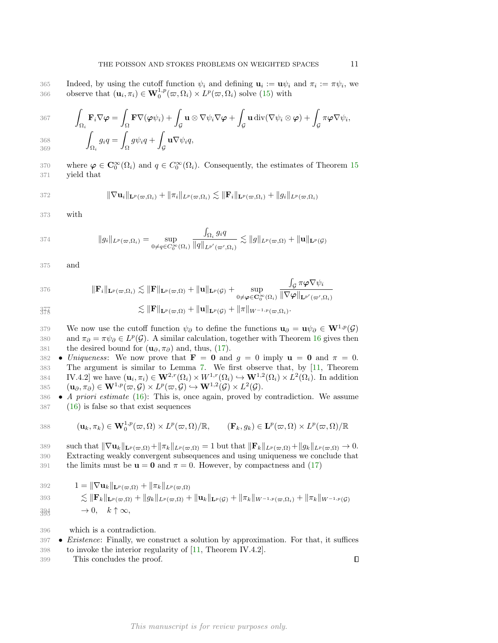365 Indeed, by using the cutoff function  $\psi_i$  and defining  $\mathbf{u}_i := \mathbf{u}\psi_i$  and  $\pi_i := \pi\psi_i$ , we 366 observe that  $(\mathbf{u}_i, \pi_i) \in \mathbf{W}_0^{1,p}(\varpi, \Omega_i) \times L^p(\varpi, \Omega_i)$  solve [\(15\)](#page-9-0) with

367  
\n
$$
\int_{\Omega_i} \mathbf{F}_i \nabla \varphi = \int_{\Omega} \mathbf{F} \nabla (\varphi \psi_i) + \int_{\mathcal{G}} \mathbf{u} \otimes \nabla \psi_i \nabla \varphi + \int_{\mathcal{G}} \mathbf{u} \operatorname{div} (\nabla \psi_i \otimes \varphi) + \int_{\mathcal{G}} \pi \varphi \nabla \psi_i,
$$
\n368  
\n
$$
\int_{\Omega_i} g_i q = \int_{\Omega} g \psi_i q + \int_{\mathcal{G}} \mathbf{u} \nabla \psi_i q,
$$

370 where  $\varphi \in \mathbb{C}_0^{\infty}(\Omega_i)$  and  $q \in C_0^{\infty}(\Omega_i)$ . Consequently, the estimates of Theorem [15](#page-9-2) 371 yield that

372 
$$
\|\nabla \mathbf{u}_i\|_{\mathbf{L}^p(\varpi,\Omega_i)} + \|\pi_i\|_{L^p(\varpi,\Omega_i)} \lesssim \|\mathbf{F}_i\|_{\mathbf{L}^p(\varpi,\Omega_i)} + \|g_i\|_{L^p(\varpi,\Omega_i)}
$$

373 with

$$
374 \qquad \|g_i\|_{L^p(\varpi,\Omega_i)} = \sup_{0 \neq q \in C_0^{\infty}(\Omega_i)} \frac{\int_{\Omega_i} g_i q}{\|q\|_{L^{p'}(\varpi',\Omega_i)}} \lesssim \|g\|_{L^p(\varpi,\Omega)} + \|u\|_{\mathbf{L}^p(\mathcal{G})}
$$

375 and

376 
$$
\|\mathbf{F}_{i}\|_{\mathbf{L}^{p}(\varpi,\Omega_{i})} \lesssim \|\mathbf{F}\|_{\mathbf{L}^{p}(\varpi,\Omega)} + \|\mathbf{u}\|_{\mathbf{L}^{p}(\mathcal{G})} + \sup_{0 \neq \varphi \in \mathbf{C}_{0}^{\infty}(\Omega_{i})} \frac{\int_{\mathcal{G}} \pi \varphi \nabla \psi_{i}}{\|\nabla \varphi\|_{\mathbf{L}^{p'}(\varpi',\Omega_{i})}}
$$

$$
\lesssim \|\mathbf{F}\|_{\mathbf{L}^p(\varpi,\Omega)} + \|\mathbf{u}\|_{\mathbf{L}^p(\mathcal{G})} + \|\pi\|_{W^{-1,p}(\varpi,\Omega_i)}.
$$

379 We now use the cutoff function  $\psi_{\partial}$  to define the functions  $\mathbf{u}_{\partial} = \mathbf{u}\psi_{\partial} \in \mathbf{W}^{1,p}(\mathcal{G})$ 380 and  $\pi_{\partial} = \pi \psi_{\partial} \in L^p(G)$ . A similar calculation, together with Theorem [16](#page-9-1) gives then 381 the desired bound for  $(\mathbf{u}_{\partial}, \pi_{\partial})$  and, thus, [\(17\)](#page-9-3).

- 382 Uniqueness: We now prove that  $\mathbf{F} = \mathbf{0}$  and  $g = 0$  imply  $\mathbf{u} = \mathbf{0}$  and  $\pi = 0$ . 383 The argument is similar to Lemma [7.](#page-3-3) We first observe that, by [\[11,](#page-11-19) Theorem 384 IV.4.2 we have  $(\mathbf{u}_i, \pi_i) \in \mathbf{W}^{2,r}(\Omega_i) \times W^{1,r}(\Omega_i) \hookrightarrow \mathbf{W}^{1,2}(\Omega_i) \times L^2(\Omega_i)$ . In addition 385  $(\mathbf{u}_{\partial}, \pi_{\partial}) \in \mathbf{W}^{1, p}(\varpi, \mathcal{G}) \times L^p(\varpi, \mathcal{G}) \hookrightarrow \mathbf{W}^{1, 2}(\mathcal{G}) \times L^2(\mathcal{G}).$
- 386 A priori estimate [\(16\)](#page-9-4): This is, once again, proved by contradiction. We assume 387 [\(16\)](#page-9-4) is false so that exist sequences

388 
$$
(\mathbf{u}_k, \pi_k) \in \mathbf{W}_0^{1,p}(\varpi, \Omega) \times L^p(\varpi, \Omega)/\mathbb{R}, \qquad (\mathbf{F}_k, g_k) \in \mathbf{L}^p(\varpi, \Omega) \times L^p(\varpi, \Omega)/\mathbb{R}
$$

such that  $\|\nabla \mathbf{u}_k\|_{\mathbf{L}^p(\varpi,\Omega)}+\|\pi_k\|_{L^p(\varpi,\Omega)} = 1$  but that  $\|\mathbf{F}_k\|_{L^p(\varpi,\Omega)}+\|g_k\|_{L^p(\varpi,\Omega)} \to 0.$ 390 Extracting weakly convergent subsequences and using uniqueness we conclude that 391 the limits must be  $u = 0$  and  $\pi = 0$ . However, by compactness and [\(17\)](#page-9-3)

392 
$$
1 = \|\nabla \mathbf{u}_k\|_{\mathbf{L}^p(\varpi,\Omega)} + \|\pi_k\|_{L^p(\varpi,\Omega)}
$$
  
\n393 
$$
\lesssim \|\mathbf{F}_k\|_{\mathbf{L}^p(\varpi,\Omega)} + \|g_k\|_{L^p(\varpi,\Omega)} + \|\mathbf{u}_k\|_{\mathbf{L}^p(\mathcal{G})} + \|\pi_k\|_{W^{-1,p}(\varpi,\Omega_i)} + \|\pi_k\|_{W^{-1,p}(\mathcal{G})}
$$
  
\n394 
$$
\to 0, \quad k \uparrow \infty,
$$

- 396 which is a contradiction.
- 397 Existence: Finally, we construct a solution by approximation. For that, it suffices 398 to invoke the interior regularity of [\[11,](#page-11-19) Theorem IV.4.2].
- 399 This concludes the proof.

 $\Box$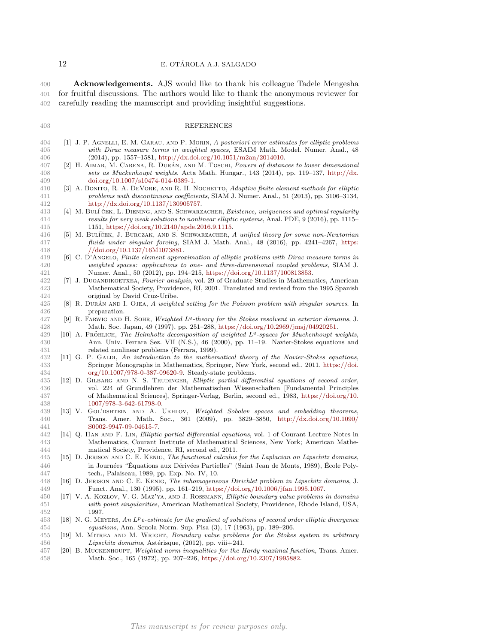**Acknowledgements.** AJS would like to thank his colleague Tadele Mengesha for fruitful discussions. The authors would like to thank the anonymous reviewer for carefully reading the manuscript and providing insightful suggestions.

## REFERENCES

- <span id="page-11-14"></span> [1] J. P. Agnelli, E. M. Garau, and P. Morin, A posteriori error estimates for elliptic problems with Dirac measure terms in weighted spaces, ESAIM Math. Model. Numer. Anal., 48 406 (2014), pp. 1557–1581, [http://dx.doi.org/10.1051/m2an/2014010.](http://dx.doi.org/10.1051/m2an/2014010)
- <span id="page-11-5"></span>407 [2] H. AIMAR, M. CARENA, R. DURÁN, AND M. TOSCHI, Powers of distances to lower dimensional sets as Muckenhoupt weights, Acta Math. Hungar., 143 (2014), pp. 119–137, [http://dx.](http://dx.doi.org/10.1007/s10474-014-0389-1) [doi.org/10.1007/s10474-014-0389-1.](http://dx.doi.org/10.1007/s10474-014-0389-1)
- <span id="page-11-16"></span>410 [3] A. BONITO, R. A. DEVORE, AND R. H. NOCHETTO, Adaptive finite element methods for elliptic problems with discontinuous coefficients, SIAM J. Numer. Anal., 51 (2013), pp. 3106–3134, [http://dx.doi.org/10.1137/130905757.](http://dx.doi.org/10.1137/130905757)
- <span id="page-11-7"></span>413 [4] M. BULÍ ČEK, L. DIENING, AND S. SCHWARZACHER, *Existence, uniqueness and optimal regularity*<br>414 cresults for very weak solutions to nonlinear elliptic systems, Anal. PDE, 9 (2016), pp. 1115– results for very weak solutions to nonlinear elliptic systems, Anal. PDE, 9 (2016), pp. 1115– 1151, [https://doi.org/10.2140/apde.2016.9.1115.](https://doi.org/10.2140/apde.2016.9.1115)
- <span id="page-11-17"></span>416 [5] M. BULÍČEK, J. BURCZAK, AND S. SCHWARZACHER, A unified theory for some non-Newtonian fluids under singular forcing, SIAM J. Math. Anal., 48 (2016), pp. 4241–4267, [https:](https://doi.org/10.1137/16M1073881) [//doi.org/10.1137/16M1073881.](https://doi.org/10.1137/16M1073881)
- <span id="page-11-2"></span> [6] C. D'Angelo, Finite element approximation of elliptic problems with Dirac measure terms in weighted spaces: applications to one- and three-dimensional coupled problems, SIAM J. Numer. Anal., 50 (2012), pp. 194–215, [https://doi.org/10.1137/100813853.](https://doi.org/10.1137/100813853)
- <span id="page-11-1"></span> [7] J. Duoandikoetxea, Fourier analysis, vol. 29 of Graduate Studies in Mathematics, American Mathematical Society, Providence, RI, 2001. Translated and revised from the 1995 Spanish original by David Cruz-Uribe.
- <span id="page-11-3"></span>425 [8] R. DURÁN AND I. OJEA, A weighted setting for the Poisson problem with singular sources. In preparation.
- <span id="page-11-6"></span> [9] R. FARWIG AND H. SOHR, Weighted  $L<sup>q</sup>$ -theory for the Stokes resolvent in exterior domains, J. Math. Soc. Japan, 49 (1997), pp. 251–288, [https://doi.org/10.2969/jmsj/04920251.](https://doi.org/10.2969/jmsj/04920251)
- <span id="page-11-8"></span> $[10]$  A. FRÖHLICH, The Helmholtz decomposition of weighted  $L<sup>q</sup>$ -spaces for Muckenhoupt weights, Ann. Univ. Ferrara Sez. VII (N.S.), 46 (2000), pp. 11–19. Navier-Stokes equations and related nonlinear problems (Ferrara, 1999).
- <span id="page-11-19"></span>432 [11] G. P. GALDI, An introduction to the mathematical theory of the Navier-Stokes equations, Springer Monographs in Mathematics, Springer, New York, second ed., 2011, [https://doi.](https://doi.org/10.1007/978-0-387-09620-9) [org/10.1007/978-0-387-09620-9.](https://doi.org/10.1007/978-0-387-09620-9) Steady-state problems.
- <span id="page-11-11"></span>435 [12] D. GILBARG AND N. S. TRUDINGER, Elliptic partial differential equations of second order, vol. 224 of Grundlehren der Mathematischen Wissenschaften [Fundamental Principles of Mathematical Sciences], Springer-Verlag, Berlin, second ed., 1983, [https://doi.org/10.](https://doi.org/10.1007/978-3-642-61798-0) [1007/978-3-642-61798-0.](https://doi.org/10.1007/978-3-642-61798-0)
- <span id="page-11-4"></span> [13] V. Gol'dshtein and A. Ukhlov, Weighted Sobolev spaces and embedding theorems, Trans. Amer. Math. Soc., 361 (2009), pp. 3829–3850, [http://dx.doi.org/10.1090/](http://dx.doi.org/10.1090/S0002-9947-09-04615-7) [S0002-9947-09-04615-7.](http://dx.doi.org/10.1090/S0002-9947-09-04615-7)
- <span id="page-11-12"></span> [14] Q. Han and F. Lin, Elliptic partial differential equations, vol. 1 of Courant Lecture Notes in Mathematics, Courant Institute of Mathematical Sciences, New York; American Mathe-matical Society, Providence, RI, second ed., 2011.
- <span id="page-11-9"></span> [15] D. Jerison and C. E. Kenig, The functional calculus for the Laplacian on Lipschitz domains, 446 in Journées "Équations aux Dérivées Partielles" (Saint Jean de Monts, 1989), École Poly-tech., Palaiseau, 1989, pp. Exp. No. IV, 10.
- <span id="page-11-10"></span> [16] D. Jerison and C. E. Kenig, The inhomogeneous Dirichlet problem in Lipschitz domains, J. Funct. Anal., 130 (1995), pp. 161–219, [https://doi.org/10.1006/jfan.1995.1067.](https://doi.org/10.1006/jfan.1995.1067)
- <span id="page-11-13"></span> [17] V. A. Kozlov, V. G. Maz'ya, and J. Rossmann, Elliptic boundary value problems in domains with point singularities, American Mathematical Society, Providence, Rhode Island, USA, 1997.
- <span id="page-11-15"></span> $[18]$  N. G. MEYERS, An L<sup>p</sup> e-estimate for the gradient of solutions of second order elliptic divergence equations, Ann. Scuola Norm. Sup. Pisa (3), 17 (1963), pp. 189–206.
- <span id="page-11-18"></span> [19] M. Mitrea and M. Wright, Boundary value problems for the Stokes system in arbitrary 456 Lipschitz domains, Astérisque, (2012), pp. viii+241.
- <span id="page-11-0"></span> [20] B. Muckenhoupt, Weighted norm inequalities for the Hardy maximal function, Trans. Amer. Math. Soc., 165 (1972), pp. 207–226, [https://doi.org/10.2307/1995882.](https://doi.org/10.2307/1995882)